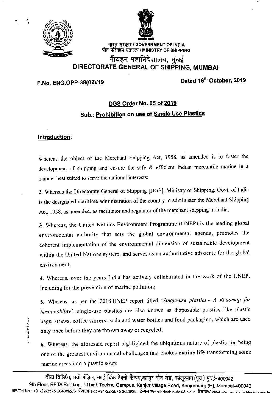



भारत सरकार / GOVERNMENT OF INDIA पोत परिवहन मंत्रालय / MINISTRY OF SHIPPING

## नौवहन महानिदेशालय, मुंबई DIRECTORATE GENERAL OF SHIPPING, MUMBAI

## F.No. ENG.OPP-38(02)/19

Dated 16th October, 2019

# DGS Order No. 05 of 2019 Sub.: Prohibition on use of Single Use Plastics

### Introduction:

**ADAMA** 

Whereas the object of the Merchant Shipping Act, 1958, as amended is to foster the development of shipping and ensure the safe & efficient Indian mercantile marine in a manner best suited to serve the national interests;

2. Whereas the Directorate General of Shipping [DGS], Ministry of Shipping, Govt. of India is the designated maritime administration of the country to administer the Merchant Shipping Act, 1958, as amended, as facilitator and regulator of the merchant shipping in India;

3. Whereas, the United Nations Environment Programme (UNEP) is the leading global environmental authority that sets the global environmental agenda, promotes the coherent implementation of the environmental dimension of sustainable development within the United Nations system, and serves as an authoritative advocate for the global environment;

4. Whereas, over the years India has actively collaborated in the work of the UNEP, including for the prevention of marine pollution;

5. Whereas, as per the 2018 UNEP report titled 'Single-use plastics - A Roadmap for Sustainability', single-use plastics are also known as disposable plastics like plastic bags, straws, coffee stirrers, soda and water bottles and food packaging, which are used only once before they are thrown away or recycled;

6. Whereas, the aforesaid report highlighted the ubiquitous nature of plastic for being one of the greatest environmental challenges that chokes marine life transforming some marine areas into a plastic soup;

वीटा विल्डिंग, 9वीं मंज़िल, आई थिंक टेक्नो कैम्पस,कांजूर गाँव रोड, कांजूरमार्ग (पूर्व) मुंबई-400042 9th Floor, BETA Building, I-Think Techno Campus, Kanjur Village Road, Kanjurmarg (E), Mumbai-400042 होन/Tel No.: +91-22-2575 2040/1/2/3 फ़ैक्स/Fax.: +91-22-2575 2029/35 ई-मेल/Email: doshio-dos@nic.in वैवसाइट Website: www.doshipping.com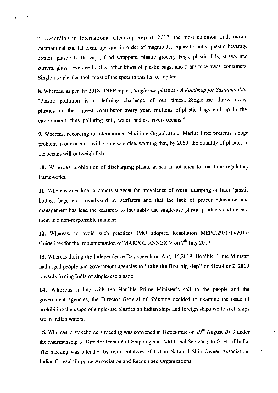7. According to International Clean-up Report, 2017, the most common finds during international coastal clean-ups are, in order of magnitude, cigarette butts, plastic beverage bottles, plastic bottle caps, food wrappers, plastic grocery bags, plastic lids, staws and stirrers, glass beverage bottles, other kinds of plastic bags, and foam take-away containers. Single-use plastics took most of the spots in this list of top ten.

8. Whereas, as per the 2018 UNEP report, Single-use plastics - A Roadmap for Sustainability: "Plastic pollution is a defining challenge of our times....Single-use throw away plastics are the biggest contributor every year, millions of plastic bags end up in the environment, thus polluting soil, water bodies, rivers oceans."

9. Whereas, according to International Maritime Organization, Marine litter presents a huge problem in our oceans, with some scientists warning that, by 2050, the quantity of plastics in the oceans will outweigh fish.

10. Whereas prohibition of discharging plastic at sea is not alien to maritime regulatory frameworks.

11. Whereas anecdotal accounts suggest the prevalence of wilful dumping of litter (plastic bottles, bags etc.) overboard by seafarers and that the lack of proper education and management has lead the seafarers to inevitably use single-use plastic products and discard them in a non-responsible manner;

12. Whereas, to avoid such practices IMO adopted Resolution MEPC.295(71)/2017: Guidelines for the implementation of MARPOL ANNEX V on 7<sup>th</sup> July 2017.

13. Whereas during the lndependence Day speech on Aug. 15,2019, Hon'ble Prime Minister had urged people and government agencies to "take the first big step" on October 2, 2019 towards freeing India of single-use plastic.

14. Whereas in-line with the Hon'ble Prime Minister's call to the people and the govemment agencies, the Director General of Shipping decided to examine the issue of prohibiting the usage of single-use plastics on Indian ships and foreign ships while such ships are in Indian waters.

15. Whereas, a stakeholders meeting was convened at Directorate on 29<sup>th</sup> August 2019 under the chairmanship of Director General of Shipping and Additional Secretary to Govt. of India. The meeting was attended by representatives of Indian National Ship Owner Association, Indian Coastal Shipping Association and Recognized Organizations.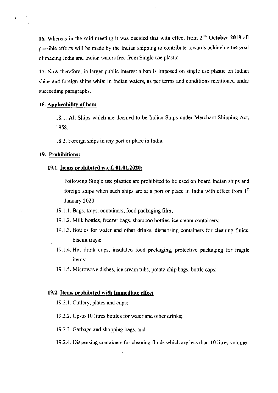16. Whereas in the said meeting it was decided that with effect from 2<sup>nd</sup> October 2019 all possible efforts will be made by the Indian shipping to contribute towards achieving the goal ofmaking India and lndian waters free from Single use plastic.

17, Now therefore, in Iarger public interest a ban is imposed on single use plastic on lndian ships and foreign ships while in Indian waters, as per terms and conditions mentioned under succeeding paragraphs.

#### 18. Applicability of ban:

18.1. All Ships which are deemed to be Indian Ships under Merchant Shipping Act, 1958.

18.2. Foreign ships in any port or place in lndia.

#### 19. Prohibitions:

#### 19.1. Items prohibited w.e.f. 01.01.2020:

Following Single use plastics are prohibited to be used on board lndian ships and foreign ships when such ships are at a port or place in India with effect from  $1<sup>st</sup>$ Janusry 2020:

- l9.l.1. Bags, trays, containers, food packaging fllm;
- 19.1.2. Milk bottles, freezer bags, shampoo bottles, ice cream containers;
- 19.1.3. Bottles for water ard other drinks, dispensing containers for cleaning fluids, biscuit trays;
- 19.1.4. Hot drink cups, insulated food packaging, protective packaging for fragile items:
- 19.1.5. Microwave dishes. ice cream tubs, potato chip bags, bottlc caps:

#### 19.2. ltems prohibited with Impnediate effect

19.2.1. Cutlery. plates and cups;

- 19.2.2.Up-to 10 litres bottles for water and other drinks;
- 19.2.3. Garbage and shopping bags, ard
- 19.2.4. Dispensing containers for cleaning fluids which are less than 10 litres volume.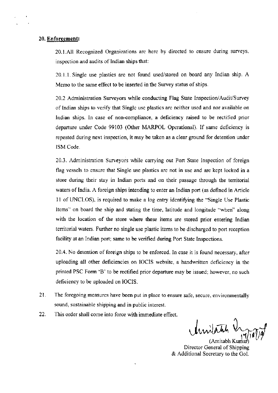#### 20. Enforcement:

20.I.AII Recognized Organizations are here by directed to ensure during surveys, inspection and audits of Indian ships that:

20.l.l.Single use plastics are not found used/stored on board any Indian ship. A Memo to the same effect to be inserted in the Survey status of ships.

20.2 Administration Surveyors while conducting Flag State Inspection/Audit/Survey of tndian ships to vcrify that Singlc use plastics are neither used and nor available on Indian ships. In case of non-compliance, a deficiency raised to be rectified prior departue under Code 99103 (Other MARPOL Operational). lf same deficiency is repeated during next inspection, it may be taken as a clear ground for detention under ISM Code.

20.3. Admlnistration Surveyors while carrying out Port State Inspection of foreign flag vessels to ensure that Single use plastics are not in use and are kept locked in a store during their stay in Indian ports and on their passage through the territorial waters of India. A foreign ships intending to enter an Indian port (as defined in Article l1 of TNCLOS), is required to make a log entry identirying rhe "Single Use Plastic Items" on board the ship and stating the time, latitude and longitude "when" along with the location of the store where these items are stored prior entering Indian territorial waters. Further no single use plastic items to be discharged to port reception facility at an Indian port; same to be verified during Port State Inspections.

20.4. No detention of foreign ships to be enforced. In case it is found necessary, after uploading all other deficiencies on IOCIS website. a handwritten deficiency in rhe printed PSC Form 'B' to be rectified prior departure may be issued; however. no such deficiency to be uploaded on IOCIS.

- $21.$ The foregoing measures have been put in place to ensure safe, secure, environmentally sound, sustainable shipping and in public interest.
- 22. This order shall come into force with immediare effect.

Amilatich Ingration

Director General of Shipping & Additional Secretary to the Gol.